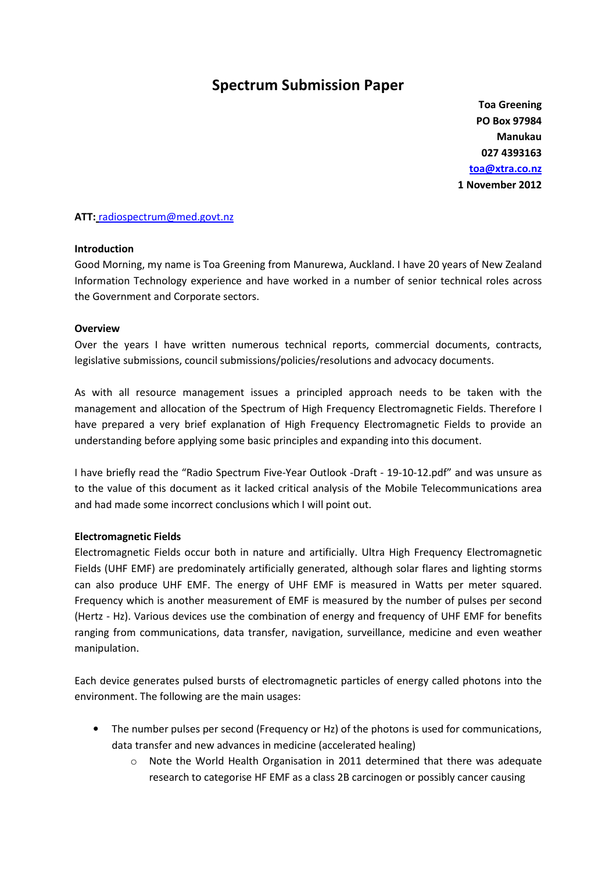# Spectrum Submission Paper

Toa Greening PO Box 97984 Manukau 027 4393163 toa@xtra.co.nz 1 November 2012

### ATT: radiospectrum@med.govt.nz

#### Introduction

Good Morning, my name is Toa Greening from Manurewa, Auckland. I have 20 years of New Zealand Information Technology experience and have worked in a number of senior technical roles across the Government and Corporate sectors.

#### **Overview**

Over the years I have written numerous technical reports, commercial documents, contracts, legislative submissions, council submissions/policies/resolutions and advocacy documents.

As with all resource management issues a principled approach needs to be taken with the management and allocation of the Spectrum of High Frequency Electromagnetic Fields. Therefore I have prepared a very brief explanation of High Frequency Electromagnetic Fields to provide an understanding before applying some basic principles and expanding into this document.

I have briefly read the "Radio Spectrum Five-Year Outlook -Draft - 19-10-12.pdf" and was unsure as to the value of this document as it lacked critical analysis of the Mobile Telecommunications area and had made some incorrect conclusions which I will point out.

#### Electromagnetic Fields

Electromagnetic Fields occur both in nature and artificially. Ultra High Frequency Electromagnetic Fields (UHF EMF) are predominately artificially generated, although solar flares and lighting storms can also produce UHF EMF. The energy of UHF EMF is measured in Watts per meter squared. Frequency which is another measurement of EMF is measured by the number of pulses per second (Hertz - Hz). Various devices use the combination of energy and frequency of UHF EMF for benefits ranging from communications, data transfer, navigation, surveillance, medicine and even weather manipulation.

Each device generates pulsed bursts of electromagnetic particles of energy called photons into the environment. The following are the main usages:

- The number pulses per second (Frequency or Hz) of the photons is used for communications, data transfer and new advances in medicine (accelerated healing)
	- $\circ$  Note the World Health Organisation in 2011 determined that there was adequate research to categorise HF EMF as a class 2B carcinogen or possibly cancer causing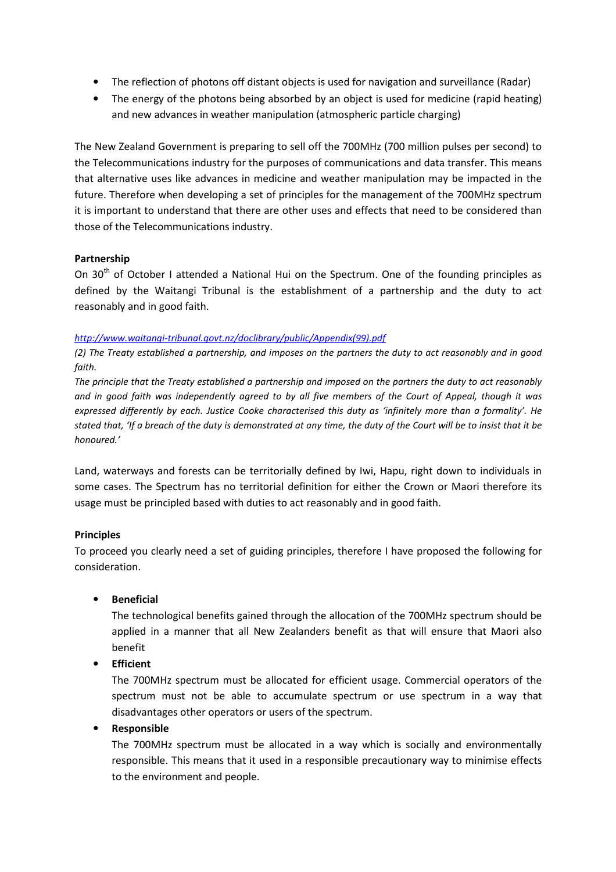- The reflection of photons off distant objects is used for navigation and surveillance (Radar)
- The energy of the photons being absorbed by an object is used for medicine (rapid heating) and new advances in weather manipulation (atmospheric particle charging)

The New Zealand Government is preparing to sell off the 700MHz (700 million pulses per second) to the Telecommunications industry for the purposes of communications and data transfer. This means that alternative uses like advances in medicine and weather manipulation may be impacted in the future. Therefore when developing a set of principles for the management of the 700MHz spectrum it is important to understand that there are other uses and effects that need to be considered than those of the Telecommunications industry.

### Partnership

On 30<sup>th</sup> of October I attended a National Hui on the Spectrum. One of the founding principles as defined by the Waitangi Tribunal is the establishment of a partnership and the duty to act reasonably and in good faith.

### http://www.waitangi-tribunal.govt.nz/doclibrary/public/Appendix(99).pdf

(2) The Treaty established a partnership, and imposes on the partners the duty to act reasonably and in good faith.

The principle that the Treaty established a partnership and imposed on the partners the duty to act reasonably and in good faith was independently agreed to by all five members of the Court of Appeal, though it was expressed differently by each. Justice Cooke characterised this duty as 'infinitely more than a formality'. He stated that, 'If a breach of the duty is demonstrated at any time, the duty of the Court will be to insist that it be honoured.'

Land, waterways and forests can be territorially defined by Iwi, Hapu, right down to individuals in some cases. The Spectrum has no territorial definition for either the Crown or Maori therefore its usage must be principled based with duties to act reasonably and in good faith.

### Principles

To proceed you clearly need a set of guiding principles, therefore I have proposed the following for consideration.

### • Beneficial

The technological benefits gained through the allocation of the 700MHz spectrum should be applied in a manner that all New Zealanders benefit as that will ensure that Maori also benefit

• Efficient

The 700MHz spectrum must be allocated for efficient usage. Commercial operators of the spectrum must not be able to accumulate spectrum or use spectrum in a way that disadvantages other operators or users of the spectrum.

### • Responsible

The 700MHz spectrum must be allocated in a way which is socially and environmentally responsible. This means that it used in a responsible precautionary way to minimise effects to the environment and people.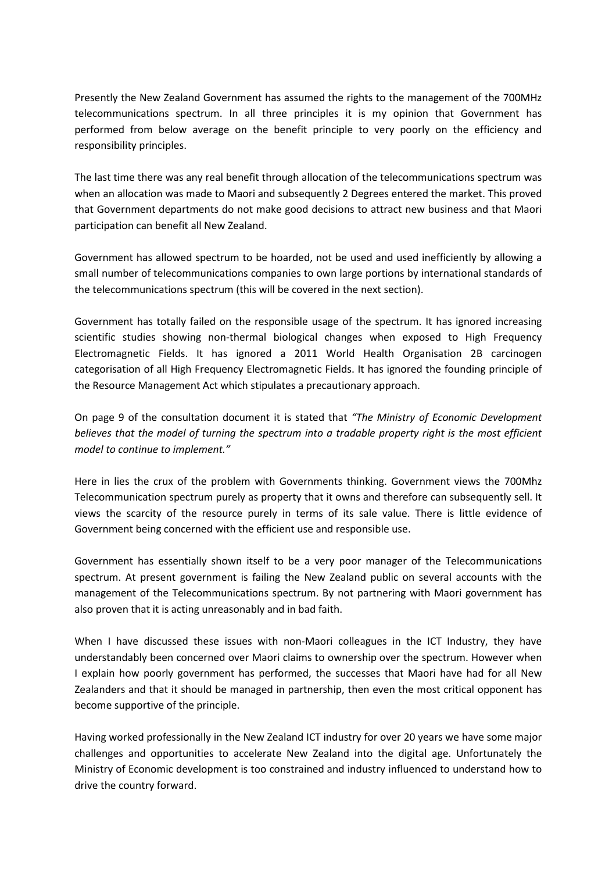Presently the New Zealand Government has assumed the rights to the management of the 700MHz telecommunications spectrum. In all three principles it is my opinion that Government has performed from below average on the benefit principle to very poorly on the efficiency and responsibility principles.

The last time there was any real benefit through allocation of the telecommunications spectrum was when an allocation was made to Maori and subsequently 2 Degrees entered the market. This proved that Government departments do not make good decisions to attract new business and that Maori participation can benefit all New Zealand.

Government has allowed spectrum to be hoarded, not be used and used inefficiently by allowing a small number of telecommunications companies to own large portions by international standards of the telecommunications spectrum (this will be covered in the next section).

Government has totally failed on the responsible usage of the spectrum. It has ignored increasing scientific studies showing non-thermal biological changes when exposed to High Frequency Electromagnetic Fields. It has ignored a 2011 World Health Organisation 2B carcinogen categorisation of all High Frequency Electromagnetic Fields. It has ignored the founding principle of the Resource Management Act which stipulates a precautionary approach.

On page 9 of the consultation document it is stated that "The Ministry of Economic Development believes that the model of turning the spectrum into a tradable property right is the most efficient model to continue to implement."

Here in lies the crux of the problem with Governments thinking. Government views the 700Mhz Telecommunication spectrum purely as property that it owns and therefore can subsequently sell. It views the scarcity of the resource purely in terms of its sale value. There is little evidence of Government being concerned with the efficient use and responsible use.

Government has essentially shown itself to be a very poor manager of the Telecommunications spectrum. At present government is failing the New Zealand public on several accounts with the management of the Telecommunications spectrum. By not partnering with Maori government has also proven that it is acting unreasonably and in bad faith.

When I have discussed these issues with non-Maori colleagues in the ICT Industry, they have understandably been concerned over Maori claims to ownership over the spectrum. However when I explain how poorly government has performed, the successes that Maori have had for all New Zealanders and that it should be managed in partnership, then even the most critical opponent has become supportive of the principle.

Having worked professionally in the New Zealand ICT industry for over 20 years we have some major challenges and opportunities to accelerate New Zealand into the digital age. Unfortunately the Ministry of Economic development is too constrained and industry influenced to understand how to drive the country forward.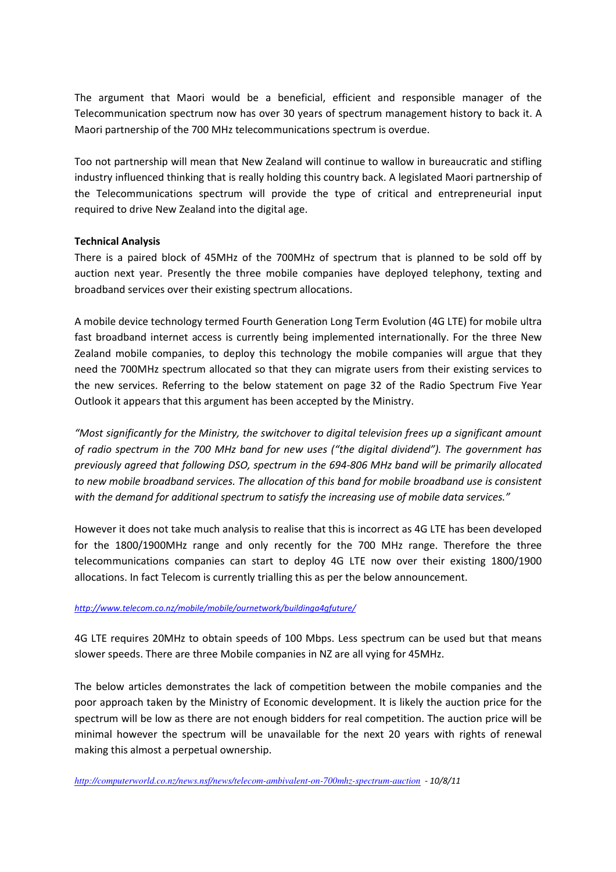The argument that Maori would be a beneficial, efficient and responsible manager of the Telecommunication spectrum now has over 30 years of spectrum management history to back it. A Maori partnership of the 700 MHz telecommunications spectrum is overdue.

Too not partnership will mean that New Zealand will continue to wallow in bureaucratic and stifling industry influenced thinking that is really holding this country back. A legislated Maori partnership of the Telecommunications spectrum will provide the type of critical and entrepreneurial input required to drive New Zealand into the digital age.

### Technical Analysis

There is a paired block of 45MHz of the 700MHz of spectrum that is planned to be sold off by auction next year. Presently the three mobile companies have deployed telephony, texting and broadband services over their existing spectrum allocations.

A mobile device technology termed Fourth Generation Long Term Evolution (4G LTE) for mobile ultra fast broadband internet access is currently being implemented internationally. For the three New Zealand mobile companies, to deploy this technology the mobile companies will argue that they need the 700MHz spectrum allocated so that they can migrate users from their existing services to the new services. Referring to the below statement on page 32 of the Radio Spectrum Five Year Outlook it appears that this argument has been accepted by the Ministry.

"Most significantly for the Ministry, the switchover to digital television frees up a significant amount of radio spectrum in the 700 MHz band for new uses ("the digital dividend"). The government has previously agreed that following DSO, spectrum in the 694-806 MHz band will be primarily allocated to new mobile broadband services. The allocation of this band for mobile broadband use is consistent with the demand for additional spectrum to satisfy the increasing use of mobile data services."

However it does not take much analysis to realise that this is incorrect as 4G LTE has been developed for the 1800/1900MHz range and only recently for the 700 MHz range. Therefore the three telecommunications companies can start to deploy 4G LTE now over their existing 1800/1900 allocations. In fact Telecom is currently trialling this as per the below announcement.

#### http://www.telecom.co.nz/mobile/mobile/ournetwork/buildinga4gfuture/

4G LTE requires 20MHz to obtain speeds of 100 Mbps. Less spectrum can be used but that means slower speeds. There are three Mobile companies in NZ are all vying for 45MHz.

The below articles demonstrates the lack of competition between the mobile companies and the poor approach taken by the Ministry of Economic development. It is likely the auction price for the spectrum will be low as there are not enough bidders for real competition. The auction price will be minimal however the spectrum will be unavailable for the next 20 years with rights of renewal making this almost a perpetual ownership.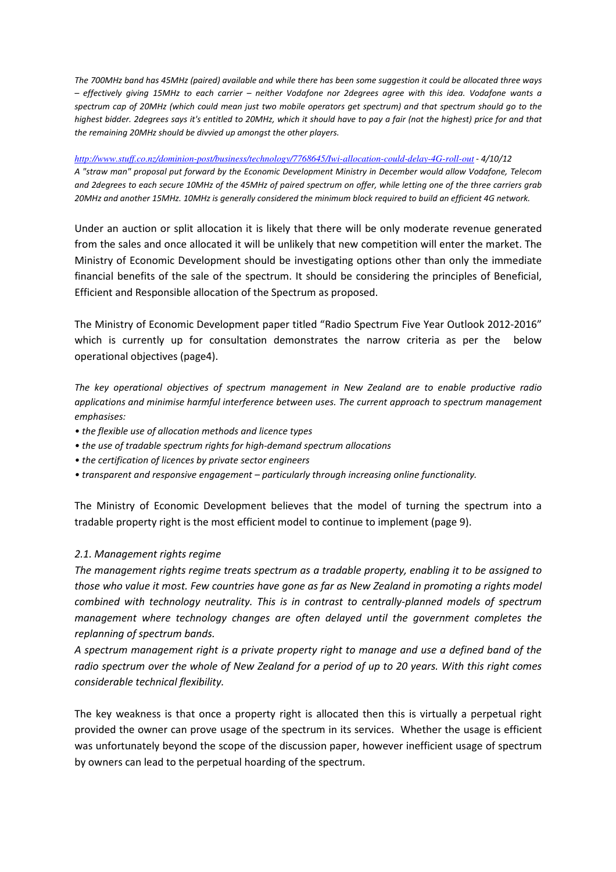The 700MHz band has 45MHz (paired) available and while there has been some suggestion it could be allocated three ways – effectively giving 15MHz to each carrier – neither Vodafone nor 2degrees agree with this idea. Vodafone wants a spectrum cap of 20MHz (which could mean just two mobile operators get spectrum) and that spectrum should go to the highest bidder. 2degrees says it's entitled to 20MHz, which it should have to pay a fair (not the highest) price for and that the remaining 20MHz should be divvied up amongst the other players.

#### *http://www.stuff.co.nz/dominion-post/business/technology/7768645/Iwi-allocation-could-delay-4G-roll-out* - 4/10/12

A "straw man" proposal put forward by the Economic Development Ministry in December would allow Vodafone, Telecom and 2degrees to each secure 10MHz of the 45MHz of paired spectrum on offer, while letting one of the three carriers grab 20MHz and another 15MHz. 10MHz is generally considered the minimum block required to build an efficient 4G network.

Under an auction or split allocation it is likely that there will be only moderate revenue generated from the sales and once allocated it will be unlikely that new competition will enter the market. The Ministry of Economic Development should be investigating options other than only the immediate financial benefits of the sale of the spectrum. It should be considering the principles of Beneficial, Efficient and Responsible allocation of the Spectrum as proposed.

The Ministry of Economic Development paper titled "Radio Spectrum Five Year Outlook 2012-2016" which is currently up for consultation demonstrates the narrow criteria as per the below operational objectives (page4).

The key operational objectives of spectrum management in New Zealand are to enable productive radio applications and minimise harmful interference between uses. The current approach to spectrum management emphasises:

- the flexible use of allocation methods and licence types
- the use of tradable spectrum rights for high-demand spectrum allocations
- the certification of licences by private sector engineers
- transparent and responsive engagement particularly through increasing online functionality.

The Ministry of Economic Development believes that the model of turning the spectrum into a tradable property right is the most efficient model to continue to implement (page 9).

### 2.1. Management rights regime

The management rights regime treats spectrum as a tradable property, enabling it to be assigned to those who value it most. Few countries have gone as far as New Zealand in promoting a rights model combined with technology neutrality. This is in contrast to centrally-planned models of spectrum management where technology changes are often delayed until the government completes the replanning of spectrum bands.

A spectrum management right is a private property right to manage and use a defined band of the radio spectrum over the whole of New Zealand for a period of up to 20 years. With this right comes considerable technical flexibility.

The key weakness is that once a property right is allocated then this is virtually a perpetual right provided the owner can prove usage of the spectrum in its services. Whether the usage is efficient was unfortunately beyond the scope of the discussion paper, however inefficient usage of spectrum by owners can lead to the perpetual hoarding of the spectrum.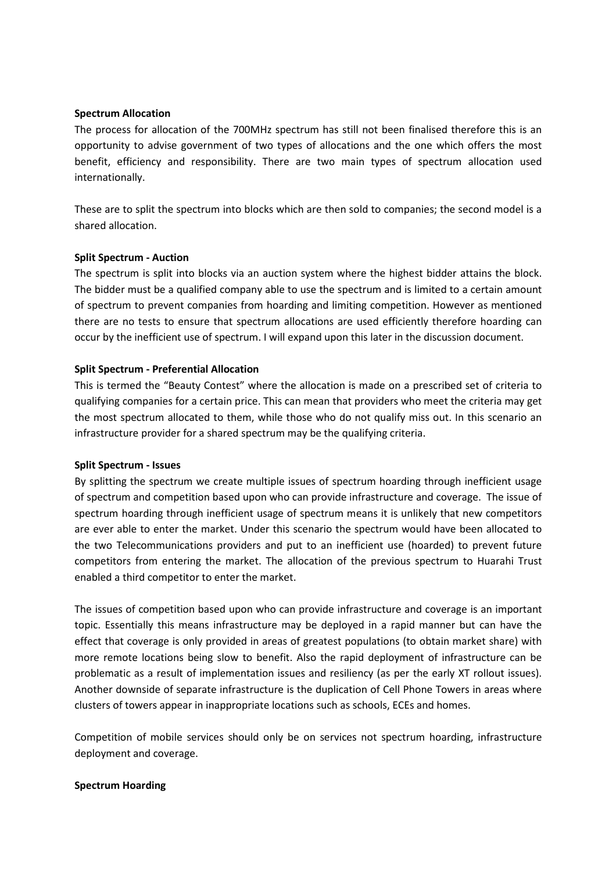#### Spectrum Allocation

The process for allocation of the 700MHz spectrum has still not been finalised therefore this is an opportunity to advise government of two types of allocations and the one which offers the most benefit, efficiency and responsibility. There are two main types of spectrum allocation used internationally.

These are to split the spectrum into blocks which are then sold to companies; the second model is a shared allocation.

#### Split Spectrum - Auction

The spectrum is split into blocks via an auction system where the highest bidder attains the block. The bidder must be a qualified company able to use the spectrum and is limited to a certain amount of spectrum to prevent companies from hoarding and limiting competition. However as mentioned there are no tests to ensure that spectrum allocations are used efficiently therefore hoarding can occur by the inefficient use of spectrum. I will expand upon this later in the discussion document.

#### Split Spectrum - Preferential Allocation

This is termed the "Beauty Contest" where the allocation is made on a prescribed set of criteria to qualifying companies for a certain price. This can mean that providers who meet the criteria may get the most spectrum allocated to them, while those who do not qualify miss out. In this scenario an infrastructure provider for a shared spectrum may be the qualifying criteria.

#### Split Spectrum - Issues

By splitting the spectrum we create multiple issues of spectrum hoarding through inefficient usage of spectrum and competition based upon who can provide infrastructure and coverage. The issue of spectrum hoarding through inefficient usage of spectrum means it is unlikely that new competitors are ever able to enter the market. Under this scenario the spectrum would have been allocated to the two Telecommunications providers and put to an inefficient use (hoarded) to prevent future competitors from entering the market. The allocation of the previous spectrum to Huarahi Trust enabled a third competitor to enter the market.

The issues of competition based upon who can provide infrastructure and coverage is an important topic. Essentially this means infrastructure may be deployed in a rapid manner but can have the effect that coverage is only provided in areas of greatest populations (to obtain market share) with more remote locations being slow to benefit. Also the rapid deployment of infrastructure can be problematic as a result of implementation issues and resiliency (as per the early XT rollout issues). Another downside of separate infrastructure is the duplication of Cell Phone Towers in areas where clusters of towers appear in inappropriate locations such as schools, ECEs and homes.

Competition of mobile services should only be on services not spectrum hoarding, infrastructure deployment and coverage.

#### Spectrum Hoarding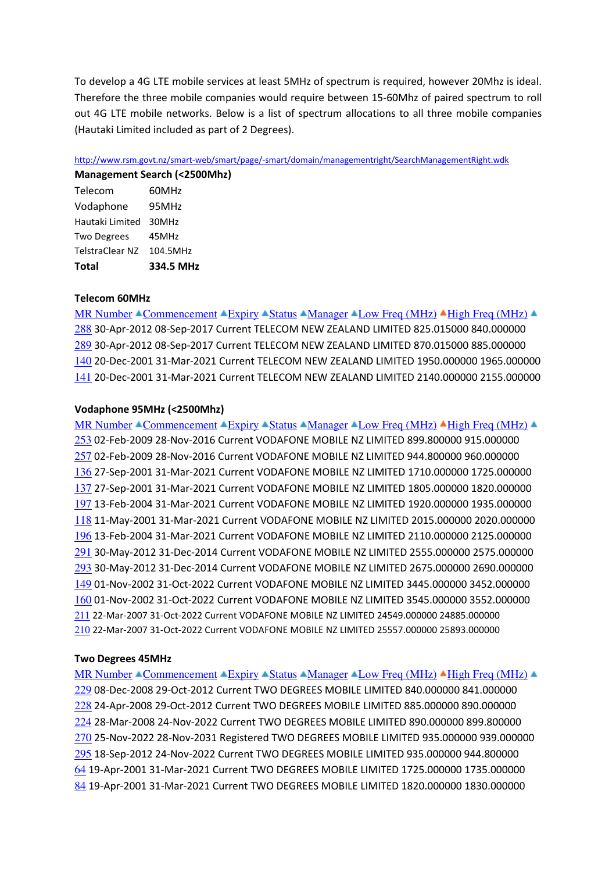To develop a 4G LTE mobile services at least 5MHz of spectrum is required, however 20Mhz is ideal. Therefore the three mobile companies would require between 15-60Mhz of paired spectrum to roll out 4G LTE mobile networks. Below is a list of spectrum allocations to all three mobile companies (Hautaki Limited included as part of 2 Degrees).

http://www.rsm.govt.nz/smart-web/smart/page/-smart/domain/managementright/SearchManagementRight.wdk

| Management Search (<2500Mhz) |           |
|------------------------------|-----------|
| Telecom                      | 60MHz     |
| Vodaphone                    | 95MHz     |
| Hautaki Limited              | 30MHz     |
| <b>Two Degrees</b>           | 45MHz     |
| TelstraClear NZ              | 104.5MHz  |
| <b>Total</b>                 | 334.5 MHz |

### Telecom 60MHz

MR Number  $\triangleq$ Commencement  $\triangleq$ Expiry  $\triangleq$ Status  $\triangleq$ Manager  $\triangleq$ Low Freq (MHz)  $\triangleq$ High Freq (MHz)  $\triangleq$  30-Apr-2012 08-Sep-2017 Current TELECOM NEW ZEALAND LIMITED 825.015000 840.000000 30-Apr-2012 08-Sep-2017 Current TELECOM NEW ZEALAND LIMITED 870.015000 885.000000 20-Dec-2001 31-Mar-2021 Current TELECOM NEW ZEALAND LIMITED 1950.000000 1965.000000 20-Dec-2001 31-Mar-2021 Current TELECOM NEW ZEALAND LIMITED 2140.000000 2155.000000

### Vodaphone 95MHz (<2500Mhz)

MR Number  $\triangle$ Commencement  $\triangle$ Expiry  $\triangle$ Status  $\triangle$ Manager  $\triangle$ Low Freq (MHz)  $\triangle$ High Freq (MHz)  $\triangle$  02-Feb-2009 28-Nov-2016 Current VODAFONE MOBILE NZ LIMITED 899.800000 915.000000 02-Feb-2009 28-Nov-2016 Current VODAFONE MOBILE NZ LIMITED 944.800000 960.000000 27-Sep-2001 31-Mar-2021 Current VODAFONE MOBILE NZ LIMITED 1710.000000 1725.000000 27-Sep-2001 31-Mar-2021 Current VODAFONE MOBILE NZ LIMITED 1805.000000 1820.000000 13-Feb-2004 31-Mar-2021 Current VODAFONE MOBILE NZ LIMITED 1920.000000 1935.000000 11-May-2001 31-Mar-2021 Current VODAFONE MOBILE NZ LIMITED 2015.000000 2020.000000 13-Feb-2004 31-Mar-2021 Current VODAFONE MOBILE NZ LIMITED 2110.000000 2125.000000 30-May-2012 31-Dec-2014 Current VODAFONE MOBILE NZ LIMITED 2555.000000 2575.000000 30-May-2012 31-Dec-2014 Current VODAFONE MOBILE NZ LIMITED 2675.000000 2690.000000 01-Nov-2002 31-Oct-2022 Current VODAFONE MOBILE NZ LIMITED 3445.000000 3452.000000 01-Nov-2002 31-Oct-2022 Current VODAFONE MOBILE NZ LIMITED 3545.000000 3552.000000 22-Mar-2007 31-Oct-2022 Current VODAFONE MOBILE NZ LIMITED 24549.000000 24885.000000 22-Mar-2007 31-Oct-2022 Current VODAFONE MOBILE NZ LIMITED 25557.000000 25893.000000

### Two Degrees 45MHz

MR Number  $\triangle$ Commencement  $\triangle$ Expiry  $\triangle$ Status  $\triangle$ Manager  $\triangle$ Low Freq (MHz)  $\triangle$ High Freq (MHz)  $\triangle$  08-Dec-2008 29-Oct-2012 Current TWO DEGREES MOBILE LIMITED 840.000000 841.000000 24-Apr-2008 29-Oct-2012 Current TWO DEGREES MOBILE LIMITED 885.000000 890.000000 28-Mar-2008 24-Nov-2022 Current TWO DEGREES MOBILE LIMITED 890.000000 899.800000 25-Nov-2022 28-Nov-2031 Registered TWO DEGREES MOBILE LIMITED 935.000000 939.000000 18-Sep-2012 24-Nov-2022 Current TWO DEGREES MOBILE LIMITED 935.000000 944.800000 19-Apr-2001 31-Mar-2021 Current TWO DEGREES MOBILE LIMITED 1725.000000 1735.000000 19-Apr-2001 31-Mar-2021 Current TWO DEGREES MOBILE LIMITED 1820.000000 1830.000000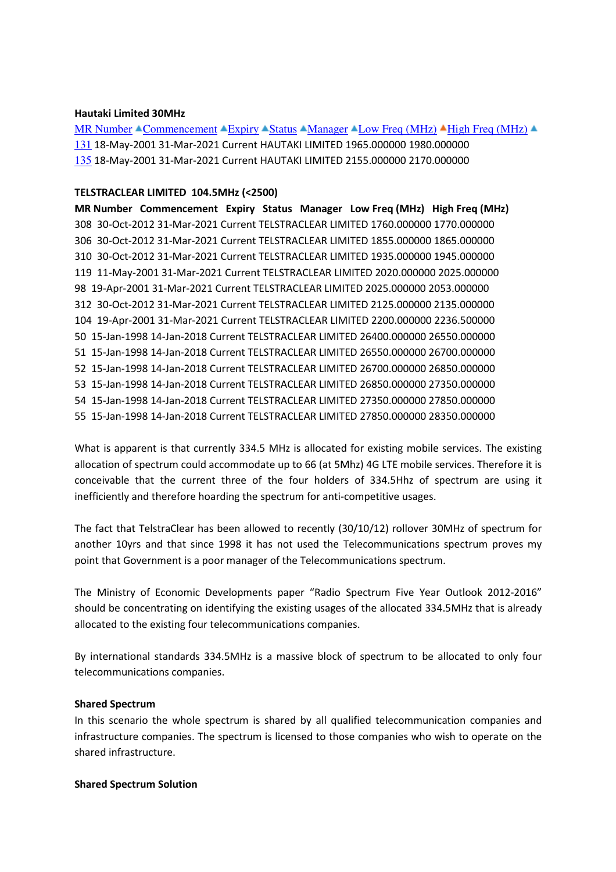#### Hautaki Limited 30MHz

MR Number  $\triangle$ Commencement  $\triangle$ Expiry  $\triangle$ Status  $\triangle$ Manager  $\triangle$ Low Freq (MHz)  $\triangle$ High Freq (MHz)  $\triangle$ 131 18-May-2001 31-Mar-2021 Current HAUTAKI LIMITED 1965.000000 1980.000000 135 18-May-2001 31-Mar-2021 Current HAUTAKI LIMITED 2155.000000 2170.000000

### TELSTRACLEAR LIMITED 104.5MHz (<2500)

MR Number Commencement Expiry Status Manager Low Freq (MHz) High Freq (MHz) 308 30-Oct-2012 31-Mar-2021 Current TELSTRACLEAR LIMITED 1760.000000 1770.000000 306 30-Oct-2012 31-Mar-2021 Current TELSTRACLEAR LIMITED 1855.000000 1865.000000 310 30-Oct-2012 31-Mar-2021 Current TELSTRACLEAR LIMITED 1935.000000 1945.000000 119 11-May-2001 31-Mar-2021 Current TELSTRACLEAR LIMITED 2020.000000 2025.000000 98 19-Apr-2001 31-Mar-2021 Current TELSTRACLEAR LIMITED 2025.000000 2053.000000 312 30-Oct-2012 31-Mar-2021 Current TELSTRACLEAR LIMITED 2125.000000 2135.000000 104 19-Apr-2001 31-Mar-2021 Current TELSTRACLEAR LIMITED 2200.000000 2236.500000 50 15-Jan-1998 14-Jan-2018 Current TELSTRACLEAR LIMITED 26400.000000 26550.000000 51 15-Jan-1998 14-Jan-2018 Current TELSTRACLEAR LIMITED 26550.000000 26700.000000 52 15-Jan-1998 14-Jan-2018 Current TELSTRACLEAR LIMITED 26700.000000 26850.000000 53 15-Jan-1998 14-Jan-2018 Current TELSTRACLEAR LIMITED 26850.000000 27350.000000 54 15-Jan-1998 14-Jan-2018 Current TELSTRACLEAR LIMITED 27350.000000 27850.000000 55 15-Jan-1998 14-Jan-2018 Current TELSTRACLEAR LIMITED 27850.000000 28350.000000

What is apparent is that currently 334.5 MHz is allocated for existing mobile services. The existing allocation of spectrum could accommodate up to 66 (at 5Mhz) 4G LTE mobile services. Therefore it is conceivable that the current three of the four holders of 334.5Hhz of spectrum are using it inefficiently and therefore hoarding the spectrum for anti-competitive usages.

The fact that TelstraClear has been allowed to recently (30/10/12) rollover 30MHz of spectrum for another 10yrs and that since 1998 it has not used the Telecommunications spectrum proves my point that Government is a poor manager of the Telecommunications spectrum.

The Ministry of Economic Developments paper "Radio Spectrum Five Year Outlook 2012-2016" should be concentrating on identifying the existing usages of the allocated 334.5MHz that is already allocated to the existing four telecommunications companies.

By international standards 334.5MHz is a massive block of spectrum to be allocated to only four telecommunications companies.

### Shared Spectrum

In this scenario the whole spectrum is shared by all qualified telecommunication companies and infrastructure companies. The spectrum is licensed to those companies who wish to operate on the shared infrastructure.

#### Shared Spectrum Solution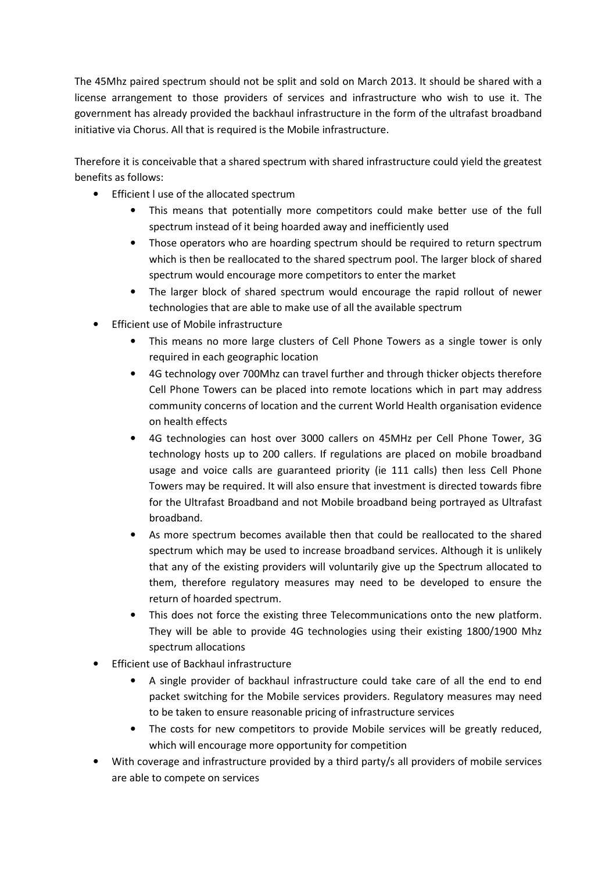The 45Mhz paired spectrum should not be split and sold on March 2013. It should be shared with a license arrangement to those providers of services and infrastructure who wish to use it. The government has already provided the backhaul infrastructure in the form of the ultrafast broadband initiative via Chorus. All that is required is the Mobile infrastructure.

Therefore it is conceivable that a shared spectrum with shared infrastructure could yield the greatest benefits as follows:

- Efficient l use of the allocated spectrum
	- This means that potentially more competitors could make better use of the full spectrum instead of it being hoarded away and inefficiently used
	- Those operators who are hoarding spectrum should be required to return spectrum which is then be reallocated to the shared spectrum pool. The larger block of shared spectrum would encourage more competitors to enter the market
	- The larger block of shared spectrum would encourage the rapid rollout of newer technologies that are able to make use of all the available spectrum
- Efficient use of Mobile infrastructure
	- This means no more large clusters of Cell Phone Towers as a single tower is only required in each geographic location
	- 4G technology over 700Mhz can travel further and through thicker objects therefore Cell Phone Towers can be placed into remote locations which in part may address community concerns of location and the current World Health organisation evidence on health effects
	- 4G technologies can host over 3000 callers on 45MHz per Cell Phone Tower, 3G technology hosts up to 200 callers. If regulations are placed on mobile broadband usage and voice calls are guaranteed priority (ie 111 calls) then less Cell Phone Towers may be required. It will also ensure that investment is directed towards fibre for the Ultrafast Broadband and not Mobile broadband being portrayed as Ultrafast broadband.
	- As more spectrum becomes available then that could be reallocated to the shared spectrum which may be used to increase broadband services. Although it is unlikely that any of the existing providers will voluntarily give up the Spectrum allocated to them, therefore regulatory measures may need to be developed to ensure the return of hoarded spectrum.
	- This does not force the existing three Telecommunications onto the new platform. They will be able to provide 4G technologies using their existing 1800/1900 Mhz spectrum allocations
- Efficient use of Backhaul infrastructure
	- A single provider of backhaul infrastructure could take care of all the end to end packet switching for the Mobile services providers. Regulatory measures may need to be taken to ensure reasonable pricing of infrastructure services
	- The costs for new competitors to provide Mobile services will be greatly reduced, which will encourage more opportunity for competition
- With coverage and infrastructure provided by a third party/s all providers of mobile services are able to compete on services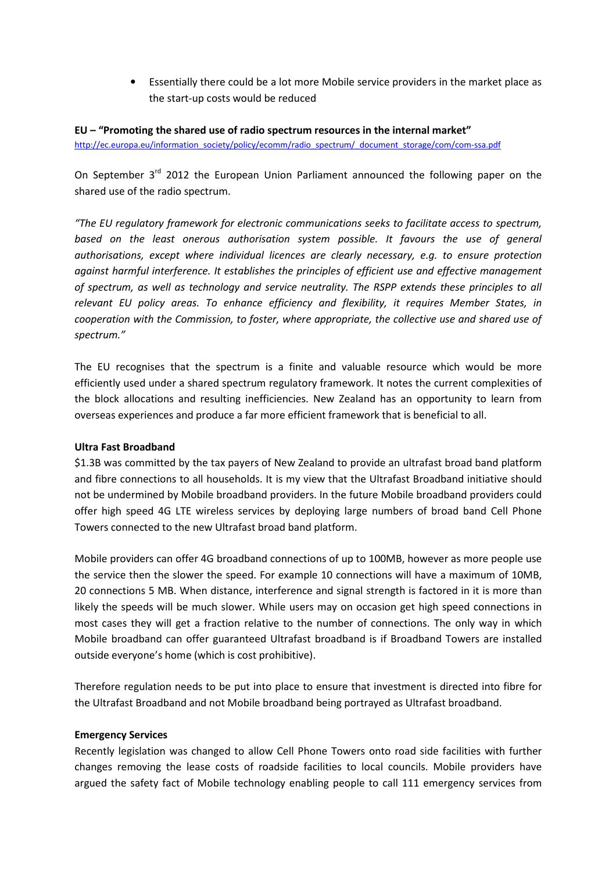• Essentially there could be a lot more Mobile service providers in the market place as the start-up costs would be reduced

EU – "Promoting the shared use of radio spectrum resources in the internal market" http://ec.europa.eu/information\_society/policy/ecomm/radio\_spectrum/\_document\_storage/com/com-ssa.pdf

On September  $3<sup>rd</sup>$  2012 the European Union Parliament announced the following paper on the shared use of the radio spectrum.

"The EU regulatory framework for electronic communications seeks to facilitate access to spectrum, based on the least onerous authorisation system possible. It favours the use of general authorisations, except where individual licences are clearly necessary, e.g. to ensure protection against harmful interference. It establishes the principles of efficient use and effective management of spectrum, as well as technology and service neutrality. The RSPP extends these principles to all relevant EU policy areas. To enhance efficiency and flexibility, it requires Member States, in cooperation with the Commission, to foster, where appropriate, the collective use and shared use of spectrum."

The EU recognises that the spectrum is a finite and valuable resource which would be more efficiently used under a shared spectrum regulatory framework. It notes the current complexities of the block allocations and resulting inefficiencies. New Zealand has an opportunity to learn from overseas experiences and produce a far more efficient framework that is beneficial to all.

### Ultra Fast Broadband

\$1.3B was committed by the tax payers of New Zealand to provide an ultrafast broad band platform and fibre connections to all households. It is my view that the Ultrafast Broadband initiative should not be undermined by Mobile broadband providers. In the future Mobile broadband providers could offer high speed 4G LTE wireless services by deploying large numbers of broad band Cell Phone Towers connected to the new Ultrafast broad band platform.

Mobile providers can offer 4G broadband connections of up to 100MB, however as more people use the service then the slower the speed. For example 10 connections will have a maximum of 10MB, 20 connections 5 MB. When distance, interference and signal strength is factored in it is more than likely the speeds will be much slower. While users may on occasion get high speed connections in most cases they will get a fraction relative to the number of connections. The only way in which Mobile broadband can offer guaranteed Ultrafast broadband is if Broadband Towers are installed outside everyone's home (which is cost prohibitive).

Therefore regulation needs to be put into place to ensure that investment is directed into fibre for the Ultrafast Broadband and not Mobile broadband being portrayed as Ultrafast broadband.

### Emergency Services

Recently legislation was changed to allow Cell Phone Towers onto road side facilities with further changes removing the lease costs of roadside facilities to local councils. Mobile providers have argued the safety fact of Mobile technology enabling people to call 111 emergency services from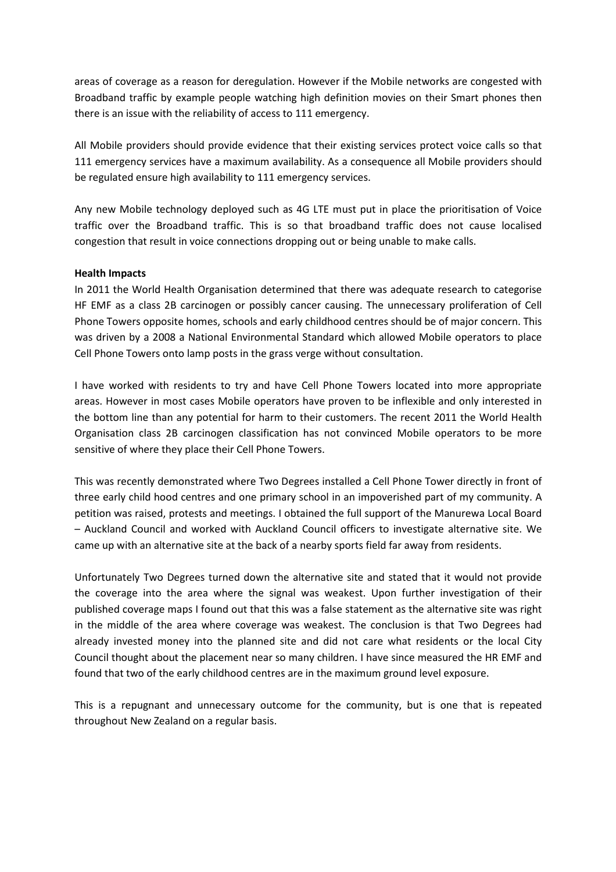areas of coverage as a reason for deregulation. However if the Mobile networks are congested with Broadband traffic by example people watching high definition movies on their Smart phones then there is an issue with the reliability of access to 111 emergency.

All Mobile providers should provide evidence that their existing services protect voice calls so that 111 emergency services have a maximum availability. As a consequence all Mobile providers should be regulated ensure high availability to 111 emergency services.

Any new Mobile technology deployed such as 4G LTE must put in place the prioritisation of Voice traffic over the Broadband traffic. This is so that broadband traffic does not cause localised congestion that result in voice connections dropping out or being unable to make calls.

### Health Impacts

In 2011 the World Health Organisation determined that there was adequate research to categorise HF EMF as a class 2B carcinogen or possibly cancer causing. The unnecessary proliferation of Cell Phone Towers opposite homes, schools and early childhood centres should be of major concern. This was driven by a 2008 a National Environmental Standard which allowed Mobile operators to place Cell Phone Towers onto lamp posts in the grass verge without consultation.

I have worked with residents to try and have Cell Phone Towers located into more appropriate areas. However in most cases Mobile operators have proven to be inflexible and only interested in the bottom line than any potential for harm to their customers. The recent 2011 the World Health Organisation class 2B carcinogen classification has not convinced Mobile operators to be more sensitive of where they place their Cell Phone Towers.

This was recently demonstrated where Two Degrees installed a Cell Phone Tower directly in front of three early child hood centres and one primary school in an impoverished part of my community. A petition was raised, protests and meetings. I obtained the full support of the Manurewa Local Board – Auckland Council and worked with Auckland Council officers to investigate alternative site. We came up with an alternative site at the back of a nearby sports field far away from residents.

Unfortunately Two Degrees turned down the alternative site and stated that it would not provide the coverage into the area where the signal was weakest. Upon further investigation of their published coverage maps I found out that this was a false statement as the alternative site was right in the middle of the area where coverage was weakest. The conclusion is that Two Degrees had already invested money into the planned site and did not care what residents or the local City Council thought about the placement near so many children. I have since measured the HR EMF and found that two of the early childhood centres are in the maximum ground level exposure.

This is a repugnant and unnecessary outcome for the community, but is one that is repeated throughout New Zealand on a regular basis.